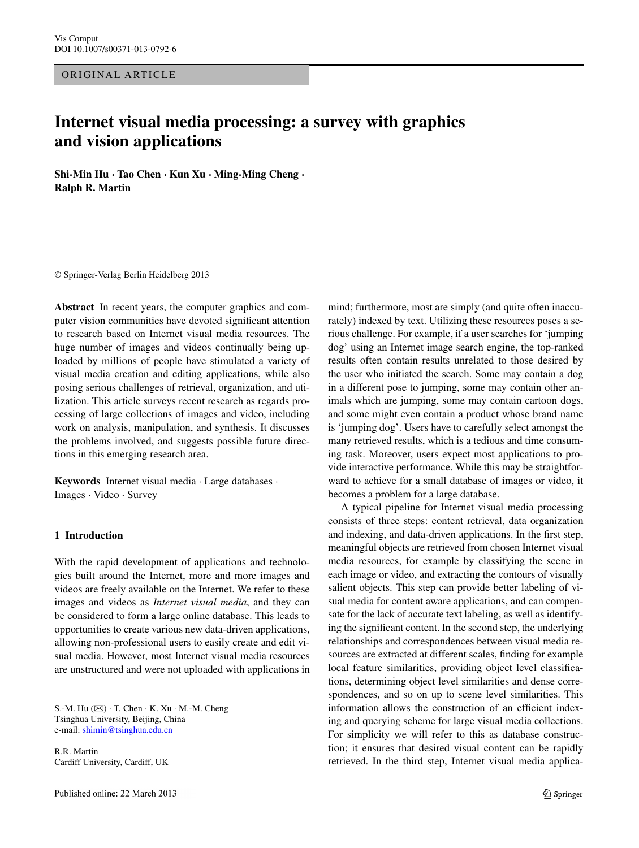ORIGINAL ARTICLE

# **Internet visual media processing: a survey with graphics and vision applications**

**Shi-Min Hu · Tao Chen · Kun Xu · Ming-Ming Cheng · Ralph R. Martin**

© Springer-Verlag Berlin Heidelberg 2013

**Abstract** In recent years, the computer graphics and computer vision communities have devoted significant attention to research based on Internet visual media resources. The huge number of images and videos continually being uploaded by millions of people have stimulated a variety of visual media creation and editing applications, while also posing serious challenges of retrieval, organization, and utilization. This article surveys recent research as regards processing of large collections of images and video, including work on analysis, manipulation, and synthesis. It discusses the problems involved, and suggests possible future directions in this emerging research area.

**Keywords** Internet visual media · Large databases · Images · Video · Survey

# **1 Introduction**

With the rapid development of applications and technologies built around the Internet, more and more images and videos are freely available on the Internet. We refer to these images and videos as *Internet visual media*, and they can be considered to form a large online database. This leads to opportunities to create various new data-driven applications, allowing non-professional users to easily create and edit visual media. However, most Internet visual media resources are unstructured and were not uploaded with applications in

S.-M. Hu  $(\boxtimes)$  · T. Chen · K. Xu · M.-M. Cheng Tsinghua University, Beijing, China e-mail: [shimin@tsinghua.edu.cn](mailto:shimin@tsinghua.edu.cn)

R.R. Martin Cardiff University, Cardiff, UK mind; furthermore, most are simply (and quite often inaccurately) indexed by text. Utilizing these resources poses a serious challenge. For example, if a user searches for 'jumping dog' using an Internet image search engine, the top-ranked results often contain results unrelated to those desired by the user who initiated the search. Some may contain a dog in a different pose to jumping, some may contain other animals which are jumping, some may contain cartoon dogs, and some might even contain a product whose brand name is 'jumping dog'. Users have to carefully select amongst the many retrieved results, which is a tedious and time consuming task. Moreover, users expect most applications to provide interactive performance. While this may be straightforward to achieve for a small database of images or video, it becomes a problem for a large database.

A typical pipeline for Internet visual media processing consists of three steps: content retrieval, data organization and indexing, and data-driven applications. In the first step, meaningful objects are retrieved from chosen Internet visual media resources, for example by classifying the scene in each image or video, and extracting the contours of visually salient objects. This step can provide better labeling of visual media for content aware applications, and can compensate for the lack of accurate text labeling, as well as identifying the significant content. In the second step, the underlying relationships and correspondences between visual media resources are extracted at different scales, finding for example local feature similarities, providing object level classifications, determining object level similarities and dense correspondences, and so on up to scene level similarities. This information allows the construction of an efficient indexing and querying scheme for large visual media collections. For simplicity we will refer to this as database construction; it ensures that desired visual content can be rapidly retrieved. In the third step, Internet visual media applica-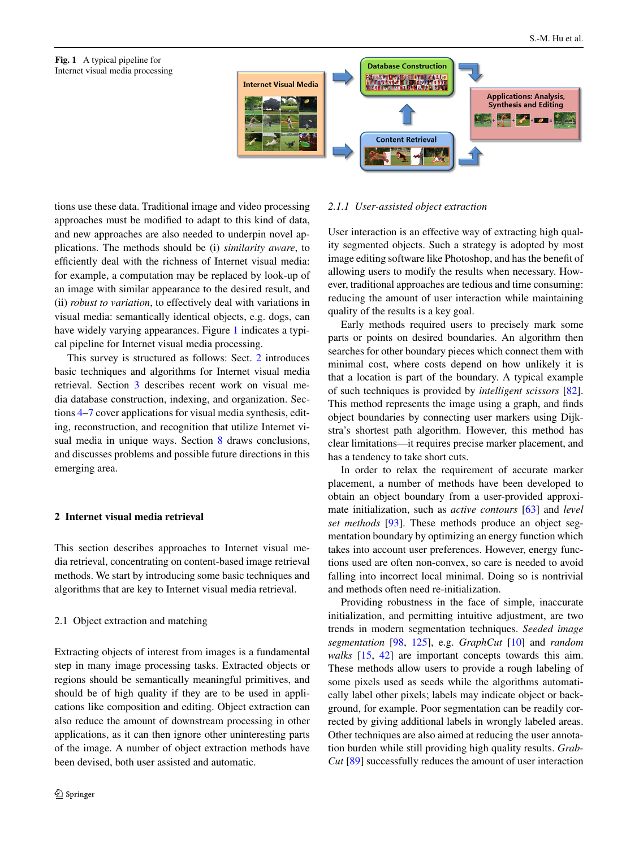<span id="page-1-0"></span>



tions use these data. Traditional image and video processing approaches must be modified to adapt to this kind of data, and new approaches are also needed to underpin novel applications. The methods should be (i) *similarity aware*, to efficiently deal with the richness of Internet visual media: for example, a computation may be replaced by look-up of an image with similar appearance to the desired result, and (ii) *robust to variation*, to effectively deal with variations in visual media: semantically identical objects, e.g. dogs, can have widely varying appearances. Figure [1](#page-1-0) indicates a typical pipeline for Internet visual media processing.

<span id="page-1-1"></span>This survey is structured as follows: Sect. [2](#page-1-1) introduces basic techniques and algorithms for Internet visual media retrieval. Section [3](#page-3-0) describes recent work on visual media database construction, indexing, and organization. Sections [4](#page-4-0)[–7](#page-7-0) cover applications for visual media synthesis, editing, reconstruction, and recognition that utilize Internet visual media in unique ways. Section [8](#page-8-0) draws conclusions, and discusses problems and possible future directions in this emerging area.

# **2 Internet visual media retrieval**

This section describes approaches to Internet visual media retrieval, concentrating on content-based image retrieval methods. We start by introducing some basic techniques and algorithms that are key to Internet visual media retrieval.

#### 2.1 Object extraction and matching

Extracting objects of interest from images is a fundamental step in many image processing tasks. Extracted objects or regions should be semantically meaningful primitives, and should be of high quality if they are to be used in applications like composition and editing. Object extraction can also reduce the amount of downstream processing in other applications, as it can then ignore other uninteresting parts of the image. A number of object extraction methods have been devised, both user assisted and automatic.

#### *2.1.1 User-assisted object extraction*

User interaction is an effective way of extracting high quality segmented objects. Such a strategy is adopted by most image editing software like Photoshop, and has the benefit of allowing users to modify the results when necessary. However, traditional approaches are tedious and time consuming: reducing the amount of user interaction while maintaining quality of the results is a key goal.

Early methods required users to precisely mark some parts or points on desired boundaries. An algorithm then searches for other boundary pieces which connect them with minimal cost, where costs depend on how unlikely it is that a location is part of the boundary. A typical example of such techniques is provided by *intelligent scissors* [\[82](#page-10-0)]. This method represents the image using a graph, and finds object boundaries by connecting user markers using Dijkstra's shortest path algorithm. However, this method has clear limitations—it requires precise marker placement, and has a tendency to take short cuts.

In order to relax the requirement of accurate marker placement, a number of methods have been developed to obtain an object boundary from a user-provided approximate initialization, such as *active contours* [[63\]](#page-10-1) and *level set methods* [\[93](#page-10-2)]. These methods produce an object segmentation boundary by optimizing an energy function which takes into account user preferences. However, energy functions used are often non-convex, so care is needed to avoid falling into incorrect local minimal. Doing so is nontrivial and methods often need re-initialization.

Providing robustness in the face of simple, inaccurate initialization, and permitting intuitive adjustment, are two trends in modern segmentation techniques. *Seeded image segmentation* [[98](#page-11-0), [125\]](#page-11-1), e.g. *GraphCut* [\[10](#page-9-0)] and *random walks* [[15,](#page-9-1) [42\]](#page-9-2) are important concepts towards this aim. These methods allow users to provide a rough labeling of some pixels used as seeds while the algorithms automatically label other pixels; labels may indicate object or background, for example. Poor segmentation can be readily corrected by giving additional labels in wrongly labeled areas. Other techniques are also aimed at reducing the user annotation burden while still providing high quality results. *Grab-Cut* [\[89](#page-10-3)] successfully reduces the amount of user interaction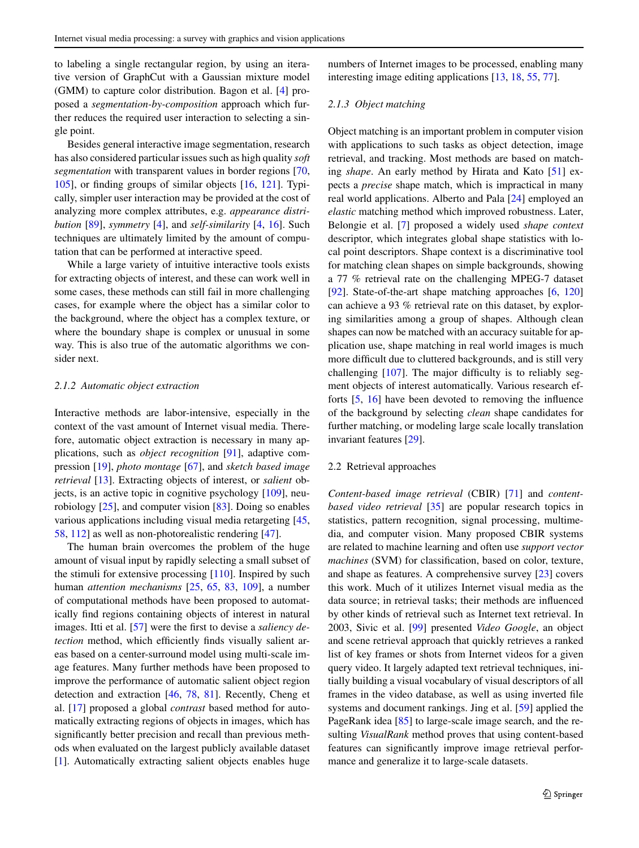to labeling a single rectangular region, by using an iterative version of GraphCut with a Gaussian mixture model (GMM) to capture color distribution. Bagon et al. [[4\]](#page-8-1) proposed a *segmentation-by-composition* approach which further reduces the required user interaction to selecting a single point.

Besides general interactive image segmentation, research has also considered particular issues such as high quality *soft segmentation* with transparent values in border regions [\[70](#page-10-4), [105\]](#page-11-2), or finding groups of similar objects [\[16](#page-9-3), [121](#page-11-3)]. Typically, simpler user interaction may be provided at the cost of analyzing more complex attributes, e.g. *appearance distribution* [[89\]](#page-10-3), *symmetry* [\[4](#page-8-1)], and *self-similarity* [\[4](#page-8-1), [16](#page-9-3)]. Such techniques are ultimately limited by the amount of computation that can be performed at interactive speed.

While a large variety of intuitive interactive tools exists for extracting objects of interest, and these can work well in some cases, these methods can still fail in more challenging cases, for example where the object has a similar color to the background, where the object has a complex texture, or where the boundary shape is complex or unusual in some way. This is also true of the automatic algorithms we consider next.

## *2.1.2 Automatic object extraction*

Interactive methods are labor-intensive, especially in the context of the vast amount of Internet visual media. Therefore, automatic object extraction is necessary in many applications, such as *object recognition* [\[91](#page-10-5)], adaptive compression [\[19](#page-9-4)], *photo montage* [[67\]](#page-10-6), and *sketch based image retrieval* [\[13](#page-9-5)]. Extracting objects of interest, or *salient* objects, is an active topic in cognitive psychology  $[109]$  $[109]$ , neurobiology [[25](#page-9-6)], and computer vision [[83\]](#page-10-7). Doing so enables various applications including visual media retargeting [\[45](#page-9-7), [58,](#page-10-8) [112\]](#page-11-5) as well as non-photorealistic rendering [[47\]](#page-9-8).

The human brain overcomes the problem of the huge amount of visual input by rapidly selecting a small subset of the stimuli for extensive processing [\[110\]](#page-11-6). Inspired by such human *attention mechanisms* [[25,](#page-9-6) [65](#page-10-9), [83](#page-10-7), [109\]](#page-11-4), a number of computational methods have been proposed to automatically find regions containing objects of interest in natural images. Itti et al. [\[57](#page-10-10)] were the first to devise a *saliency detection* method, which efficiently finds visually salient areas based on a center-surround model using multi-scale image features. Many further methods have been proposed to improve the performance of automatic salient object region detection and extraction [\[46](#page-9-9), [78,](#page-10-11) [81](#page-10-12)]. Recently, Cheng et al. [[17\]](#page-9-10) proposed a global *contrast* based method for automatically extracting regions of objects in images, which has significantly better precision and recall than previous methods when evaluated on the largest publicly available dataset [\[1](#page-8-2)]. Automatically extracting salient objects enables huge numbers of Internet images to be processed, enabling many interesting image editing applications [\[13](#page-9-5), [18](#page-9-11), [55](#page-10-13), [77](#page-10-14)].

# *2.1.3 Object matching*

Object matching is an important problem in computer vision with applications to such tasks as object detection, image retrieval, and tracking. Most methods are based on matching *shape*. An early method by Hirata and Kato [\[51](#page-9-12)] expects a *precise* shape match, which is impractical in many real world applications. Alberto and Pala [\[24](#page-9-13)] employed an *elastic* matching method which improved robustness. Later, Belongie et al. [[7\]](#page-8-3) proposed a widely used *shape context* descriptor, which integrates global shape statistics with local point descriptors. Shape context is a discriminative tool for matching clean shapes on simple backgrounds, showing a 77 % retrieval rate on the challenging MPEG-7 dataset [\[92](#page-10-15)]. State-of-the-art shape matching approaches [\[6](#page-8-4), [120\]](#page-11-7) can achieve a 93 % retrieval rate on this dataset, by exploring similarities among a group of shapes. Although clean shapes can now be matched with an accuracy suitable for application use, shape matching in real world images is much more difficult due to cluttered backgrounds, and is still very challenging [[107\]](#page-11-8). The major difficulty is to reliably segment objects of interest automatically. Various research efforts [\[5](#page-8-5), [16](#page-9-3)] have been devoted to removing the influence of the background by selecting *clean* shape candidates for further matching, or modeling large scale locally translation invariant features [\[29](#page-9-14)].

# 2.2 Retrieval approaches

*Content-based image retrieval* (CBIR) [\[71](#page-10-16)] and *contentbased video retrieval* [\[35](#page-9-15)] are popular research topics in statistics, pattern recognition, signal processing, multimedia, and computer vision. Many proposed CBIR systems are related to machine learning and often use *support vector machines* (SVM) for classification, based on color, texture, and shape as features. A comprehensive survey [\[23](#page-9-16)] covers this work. Much of it utilizes Internet visual media as the data source; in retrieval tasks; their methods are influenced by other kinds of retrieval such as Internet text retrieval. In 2003, Sivic et al. [[99\]](#page-11-9) presented *Video Google*, an object and scene retrieval approach that quickly retrieves a ranked list of key frames or shots from Internet videos for a given query video. It largely adapted text retrieval techniques, initially building a visual vocabulary of visual descriptors of all frames in the video database, as well as using inverted file systems and document rankings. Jing et al. [[59\]](#page-10-17) applied the PageRank idea [\[85](#page-10-18)] to large-scale image search, and the resulting *VisualRank* method proves that using content-based features can significantly improve image retrieval performance and generalize it to large-scale datasets.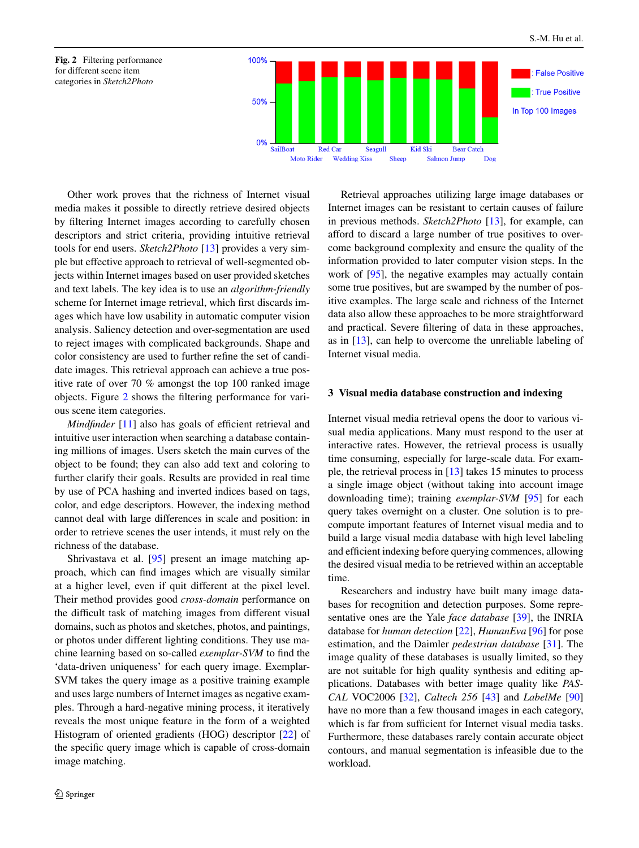**False Positive** : True Positive

<span id="page-3-1"></span>

Other work proves that the richness of Internet visual media makes it possible to directly retrieve desired objects by filtering Internet images according to carefully chosen descriptors and strict criteria, providing intuitive retrieval tools for end users. *Sketch2Photo* [[13\]](#page-9-5) provides a very simple but effective approach to retrieval of well-segmented objects within Internet images based on user provided sketches and text labels. The key idea is to use an *algorithm-friendly* scheme for Internet image retrieval, which first discards images which have low usability in automatic computer vision analysis. Saliency detection and over-segmentation are used to reject images with complicated backgrounds. Shape and color consistency are used to further refine the set of candidate images. This retrieval approach can achieve a true positive rate of over 70 % amongst the top 100 ranked image objects. Figure [2](#page-3-1) shows the filtering performance for various scene item categories.

*Mindfinder* [[11\]](#page-9-17) also has goals of efficient retrieval and intuitive user interaction when searching a database containing millions of images. Users sketch the main curves of the object to be found; they can also add text and coloring to further clarify their goals. Results are provided in real time by use of PCA hashing and inverted indices based on tags, color, and edge descriptors. However, the indexing method cannot deal with large differences in scale and position: in order to retrieve scenes the user intends, it must rely on the richness of the database.

Shrivastava et al. [[95\]](#page-10-19) present an image matching approach, which can find images which are visually similar at a higher level, even if quit different at the pixel level. Their method provides good *cross-domain* performance on the difficult task of matching images from different visual domains, such as photos and sketches, photos, and paintings, or photos under different lighting conditions. They use machine learning based on so-called *exemplar-SVM* to find the 'data-driven uniqueness' for each query image. Exemplar-SVM takes the query image as a positive training example and uses large numbers of Internet images as negative examples. Through a hard-negative mining process, it iteratively reveals the most unique feature in the form of a weighted Histogram of oriented gradients (HOG) descriptor [[22\]](#page-9-18) of the specific query image which is capable of cross-domain image matching.

Retrieval approaches utilizing large image databases or Internet images can be resistant to certain causes of failure in previous methods. *Sketch2Photo* [[13\]](#page-9-5), for example, can afford to discard a large number of true positives to overcome background complexity and ensure the quality of the information provided to later computer vision steps. In the work of [\[95](#page-10-19)], the negative examples may actually contain some true positives, but are swamped by the number of positive examples. The large scale and richness of the Internet data also allow these approaches to be more straightforward and practical. Severe filtering of data in these approaches, as in [[13\]](#page-9-5), can help to overcome the unreliable labeling of Internet visual media.

# <span id="page-3-0"></span>**3 Visual media database construction and indexing**

Internet visual media retrieval opens the door to various visual media applications. Many must respond to the user at interactive rates. However, the retrieval process is usually time consuming, especially for large-scale data. For example, the retrieval process in [[13\]](#page-9-5) takes 15 minutes to process a single image object (without taking into account image downloading time); training *exemplar-SVM* [\[95](#page-10-19)] for each query takes overnight on a cluster. One solution is to precompute important features of Internet visual media and to build a large visual media database with high level labeling and efficient indexing before querying commences, allowing the desired visual media to be retrieved within an acceptable time.

Researchers and industry have built many image databases for recognition and detection purposes. Some representative ones are the Yale *face database* [\[39](#page-9-19)], the INRIA database for *human detection* [[22\]](#page-9-18), *HumanEva* [\[96](#page-10-20)] for pose estimation, and the Daimler *pedestrian database* [[31](#page-9-20)]. The image quality of these databases is usually limited, so they are not suitable for high quality synthesis and editing applications. Databases with better image quality like *PAS-CAL* VOC2006 [[32\]](#page-9-21), *Caltech 256* [[43\]](#page-9-22) and *LabelMe* [[90\]](#page-10-21) have no more than a few thousand images in each category, which is far from sufficient for Internet visual media tasks. Furthermore, these databases rarely contain accurate object contours, and manual segmentation is infeasible due to the workload.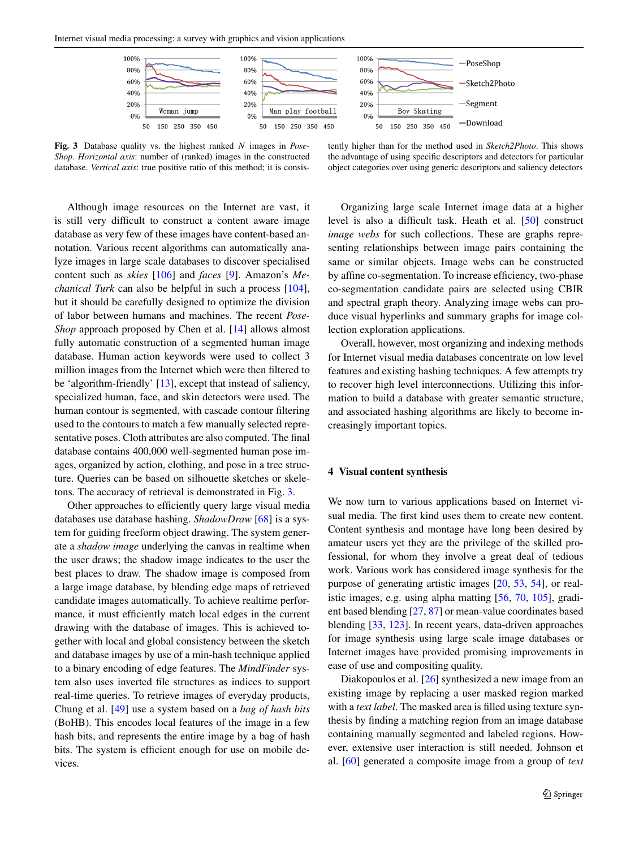

<span id="page-4-1"></span>**Fig. 3** Database quality vs. the highest ranked *N* images in *Pose-Shop*. *Horizontal axis*: number of (ranked) images in the constructed database. *Vertical axis*: true positive ratio of this method; it is consis-

tently higher than for the method used in *Sketch2Photo*. This shows the advantage of using specific descriptors and detectors for particular object categories over using generic descriptors and saliency detectors

Although image resources on the Internet are vast, it is still very difficult to construct a content aware image database as very few of these images have content-based annotation. Various recent algorithms can automatically analyze images in large scale databases to discover specialised content such as *skies* [\[106](#page-11-10)] and *faces* [[9\]](#page-9-23). Amazon's *Mechanical Turk* can also be helpful in such a process [\[104](#page-11-11)], but it should be carefully designed to optimize the division of labor between humans and machines. The recent *Pose-Shop* approach proposed by Chen et al. [\[14\]](#page-9-24) allows almost fully automatic construction of a segmented human image database. Human action keywords were used to collect 3 million images from the Internet which were then filtered to be 'algorithm-friendly' [[13\]](#page-9-5), except that instead of saliency, specialized human, face, and skin detectors were used. The human contour is segmented, with cascade contour filtering used to the contours to match a few manually selected representative poses. Cloth attributes are also computed. The final database contains 400,000 well-segmented human pose images, organized by action, clothing, and pose in a tree structure. Queries can be based on silhouette sketches or skeletons. The accuracy of retrieval is demonstrated in Fig. [3.](#page-4-1)

Other approaches to efficiently query large visual media databases use database hashing. *ShadowDraw* [[68\]](#page-10-22) is a system for guiding freeform object drawing. The system generate a *shadow image* underlying the canvas in realtime when the user draws; the shadow image indicates to the user the best places to draw. The shadow image is composed from a large image database, by blending edge maps of retrieved candidate images automatically. To achieve realtime performance, it must efficiently match local edges in the current drawing with the database of images. This is achieved together with local and global consistency between the sketch and database images by use of a min-hash technique applied to a binary encoding of edge features. The *MindFinder* system also uses inverted file structures as indices to support real-time queries. To retrieve images of everyday products, Chung et al. [[49\]](#page-9-25) use a system based on a *bag of hash bits* (BoHB). This encodes local features of the image in a few hash bits, and represents the entire image by a bag of hash bits. The system is efficient enough for use on mobile devices.

Organizing large scale Internet image data at a higher level is also a difficult task. Heath et al. [\[50](#page-9-26)] construct *image webs* for such collections. These are graphs representing relationships between image pairs containing the same or similar objects. Image webs can be constructed by affine co-segmentation. To increase efficiency, two-phase co-segmentation candidate pairs are selected using CBIR and spectral graph theory. Analyzing image webs can produce visual hyperlinks and summary graphs for image collection exploration applications.

<span id="page-4-0"></span>Overall, however, most organizing and indexing methods for Internet visual media databases concentrate on low level features and existing hashing techniques. A few attempts try to recover high level interconnections. Utilizing this information to build a database with greater semantic structure, and associated hashing algorithms are likely to become increasingly important topics.

#### **4 Visual content synthesis**

We now turn to various applications based on Internet visual media. The first kind uses them to create new content. Content synthesis and montage have long been desired by amateur users yet they are the privilege of the skilled professional, for whom they involve a great deal of tedious work. Various work has considered image synthesis for the purpose of generating artistic images [\[20](#page-9-27), [53](#page-9-28), [54\]](#page-10-23), or realistic images, e.g. using alpha matting [[56](#page-10-24), [70](#page-10-4), [105](#page-11-2)], gradient based blending [[27,](#page-9-29) [87](#page-10-25)] or mean-value coordinates based blending [\[33,](#page-9-30) [123](#page-11-12)]. In recent years, data-driven approaches for image synthesis using large scale image databases or Internet images have provided promising improvements in ease of use and compositing quality.

Diakopoulos et al. [\[26\]](#page-9-31) synthesized a new image from an existing image by replacing a user masked region marked with a *text label*. The masked area is filled using texture synthesis by finding a matching region from an image database containing manually segmented and labeled regions. However, extensive user interaction is still needed. Johnson et al. [\[60](#page-10-26)] generated a composite image from a group of *text*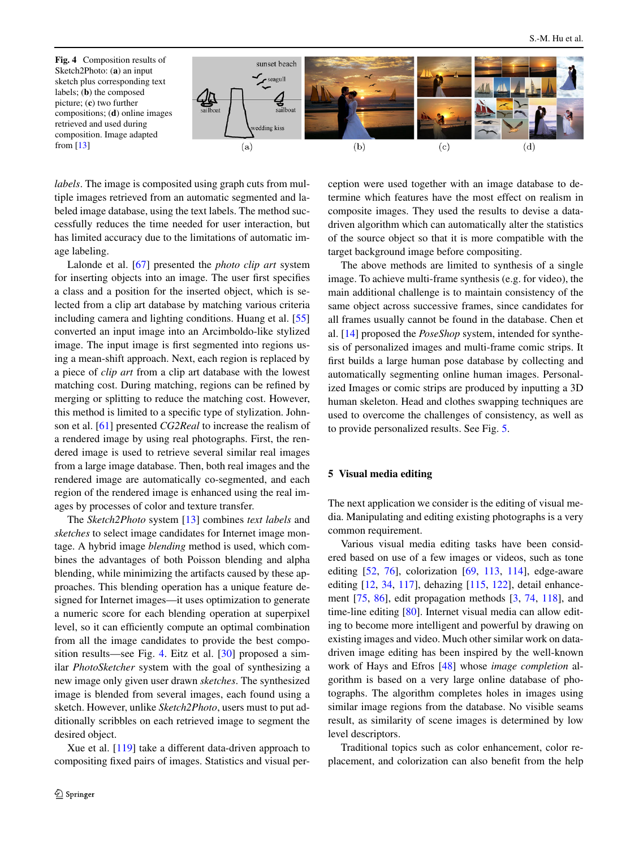<span id="page-5-0"></span>**Fig. 4** Composition results of Sketch2Photo: (**a**) an input sketch plus corresponding text labels; (**b**) the composed picture; (**c**) two further compositions; (**d**) online images retrieved and used during composition. Image adapted from [[13](#page-9-5)]



*labels*. The image is composited using graph cuts from multiple images retrieved from an automatic segmented and labeled image database, using the text labels. The method successfully reduces the time needed for user interaction, but has limited accuracy due to the limitations of automatic image labeling.

Lalonde et al. [\[67](#page-10-6)] presented the *photo clip art* system for inserting objects into an image. The user first specifies a class and a position for the inserted object, which is selected from a clip art database by matching various criteria including camera and lighting conditions. Huang et al. [[55\]](#page-10-13) converted an input image into an Arcimboldo-like stylized image. The input image is first segmented into regions using a mean-shift approach. Next, each region is replaced by a piece of *clip art* from a clip art database with the lowest matching cost. During matching, regions can be refined by merging or splitting to reduce the matching cost. However, this method is limited to a specific type of stylization. Johnson et al. [\[61](#page-10-27)] presented *CG2Real* to increase the realism of a rendered image by using real photographs. First, the rendered image is used to retrieve several similar real images from a large image database. Then, both real images and the rendered image are automatically co-segmented, and each region of the rendered image is enhanced using the real images by processes of color and texture transfer.

The *Sketch2Photo* system [[13\]](#page-9-5) combines *text labels* and *sketches* to select image candidates for Internet image montage. A hybrid image *blending* method is used, which combines the advantages of both Poisson blending and alpha blending, while minimizing the artifacts caused by these approaches. This blending operation has a unique feature designed for Internet images—it uses optimization to generate a numeric score for each blending operation at superpixel level, so it can efficiently compute an optimal combination from all the image candidates to provide the best composition results—see Fig. [4](#page-5-0). Eitz et al. [\[30](#page-9-32)] proposed a similar *PhotoSketcher* system with the goal of synthesizing a new image only given user drawn *sketches*. The synthesized image is blended from several images, each found using a sketch. However, unlike *Sketch2Photo*, users must to put additionally scribbles on each retrieved image to segment the desired object.

Xue et al. [[119](#page-11-13)] take a different data-driven approach to compositing fixed pairs of images. Statistics and visual perception were used together with an image database to determine which features have the most effect on realism in composite images. They used the results to devise a datadriven algorithm which can automatically alter the statistics of the source object so that it is more compatible with the target background image before compositing.

The above methods are limited to synthesis of a single image. To achieve multi-frame synthesis (e.g. for video), the main additional challenge is to maintain consistency of the same object across successive frames, since candidates for all frames usually cannot be found in the database. Chen et al. [\[14](#page-9-24)] proposed the *PoseShop* system, intended for synthesis of personalized images and multi-frame comic strips. It first builds a large human pose database by collecting and automatically segmenting online human images. Personalized Images or comic strips are produced by inputting a 3D human skeleton. Head and clothes swapping techniques are used to overcome the challenges of consistency, as well as to provide personalized results. See Fig. [5.](#page-6-0)

# **5 Visual media editing**

The next application we consider is the editing of visual media. Manipulating and editing existing photographs is a very common requirement.

Various visual media editing tasks have been considered based on use of a few images or videos, such as tone editing [\[52](#page-9-33), [76](#page-10-28)], colorization [\[69](#page-10-29), [113](#page-11-14), [114\]](#page-11-15), edge-aware editing [\[12](#page-9-34), [34,](#page-9-35) [117](#page-11-16)], dehazing [[115,](#page-11-17) [122\]](#page-11-18), detail enhancement [[75,](#page-10-30) [86\]](#page-10-31), edit propagation methods [\[3](#page-8-6), [74](#page-10-32), [118](#page-11-19)], and time-line editing [\[80](#page-10-33)]. Internet visual media can allow editing to become more intelligent and powerful by drawing on existing images and video. Much other similar work on datadriven image editing has been inspired by the well-known work of Hays and Efros [\[48](#page-9-36)] whose *image completion* algorithm is based on a very large online database of photographs. The algorithm completes holes in images using similar image regions from the database. No visible seams result, as similarity of scene images is determined by low level descriptors.

Traditional topics such as color enhancement, color replacement, and colorization can also benefit from the help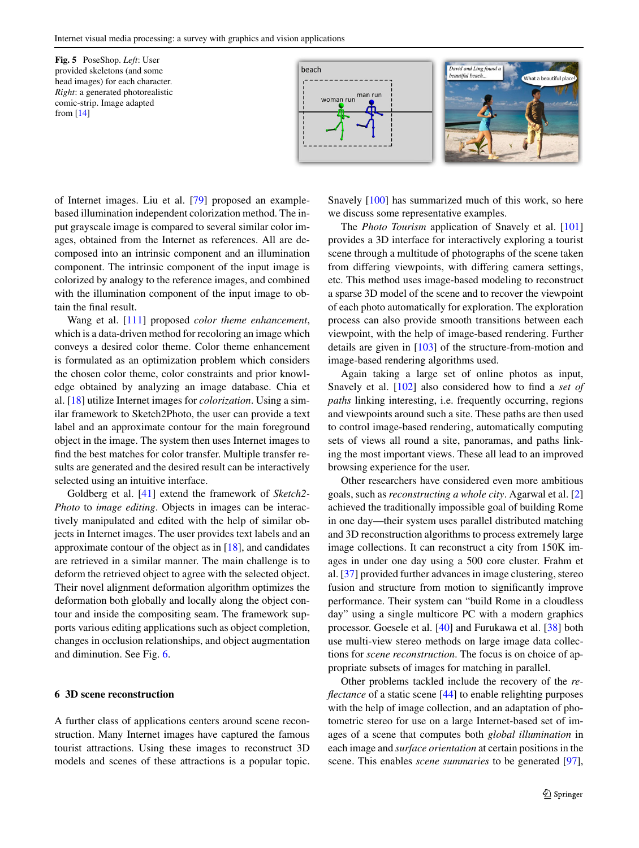<span id="page-6-0"></span>**Fig. 5** PoseShop. *Left*: User provided skeletons (and some head images) for each character. *Right*: a generated photorealistic comic-strip. Image adapted from [[14](#page-9-24)]



of Internet images. Liu et al. [\[79](#page-10-34)] proposed an examplebased illumination independent colorization method. The input grayscale image is compared to several similar color images, obtained from the Internet as references. All are decomposed into an intrinsic component and an illumination component. The intrinsic component of the input image is colorized by analogy to the reference images, and combined with the illumination component of the input image to obtain the final result.

Wang et al. [\[111](#page-11-20)] proposed *color theme enhancement*, which is a data-driven method for recoloring an image which conveys a desired color theme. Color theme enhancement is formulated as an optimization problem which considers the chosen color theme, color constraints and prior knowledge obtained by analyzing an image database. Chia et al. [[18\]](#page-9-11) utilize Internet images for *colorization*. Using a similar framework to Sketch2Photo, the user can provide a text label and an approximate contour for the main foreground object in the image. The system then uses Internet images to find the best matches for color transfer. Multiple transfer results are generated and the desired result can be interactively selected using an intuitive interface.

Goldberg et al. [\[41\]](#page-9-37) extend the framework of *Sketch2- Photo* to *image editing*. Objects in images can be interactively manipulated and edited with the help of similar objects in Internet images. The user provides text labels and an approximate contour of the object as in  $[18]$  $[18]$ , and candidates are retrieved in a similar manner. The main challenge is to deform the retrieved object to agree with the selected object. Their novel alignment deformation algorithm optimizes the deformation both globally and locally along the object contour and inside the compositing seam. The framework supports various editing applications such as object completion, changes in occlusion relationships, and object augmentation and diminution. See Fig. [6.](#page-7-1)

## **6 3D scene reconstruction**

A further class of applications centers around scene reconstruction. Many Internet images have captured the famous tourist attractions. Using these images to reconstruct 3D models and scenes of these attractions is a popular topic. Snavely [\[100](#page-11-21)] has summarized much of this work, so here we discuss some representative examples.

The *Photo Tourism* application of Snavely et al. [[101\]](#page-11-22) provides a 3D interface for interactively exploring a tourist scene through a multitude of photographs of the scene taken from differing viewpoints, with differing camera settings, etc. This method uses image-based modeling to reconstruct a sparse 3D model of the scene and to recover the viewpoint of each photo automatically for exploration. The exploration process can also provide smooth transitions between each viewpoint, with the help of image-based rendering. Further details are given in [\[103](#page-11-23)] of the structure-from-motion and image-based rendering algorithms used.

Again taking a large set of online photos as input, Snavely et al. [\[102](#page-11-24)] also considered how to find a *set of paths* linking interesting, i.e. frequently occurring, regions and viewpoints around such a site. These paths are then used to control image-based rendering, automatically computing sets of views all round a site, panoramas, and paths linking the most important views. These all lead to an improved browsing experience for the user.

Other researchers have considered even more ambitious goals, such as *reconstructing a whole city*. Agarwal et al. [[2\]](#page-8-7) achieved the traditionally impossible goal of building Rome in one day—their system uses parallel distributed matching and 3D reconstruction algorithms to process extremely large image collections. It can reconstruct a city from 150K images in under one day using a 500 core cluster. Frahm et al. [[37\]](#page-9-38) provided further advances in image clustering, stereo fusion and structure from motion to significantly improve performance. Their system can "build Rome in a cloudless day" using a single multicore PC with a modern graphics processor. Goesele et al. [\[40](#page-9-39)] and Furukawa et al. [\[38](#page-9-40)] both use multi-view stereo methods on large image data collections for *scene reconstruction*. The focus is on choice of appropriate subsets of images for matching in parallel.

Other problems tackled include the recovery of the *reflectance* of a static scene [[44\]](#page-9-41) to enable relighting purposes with the help of image collection, and an adaptation of photometric stereo for use on a large Internet-based set of images of a scene that computes both *global illumination* in each image and *surface orientation* at certain positions in the scene. This enables *scene summaries* to be generated [\[97](#page-11-25)],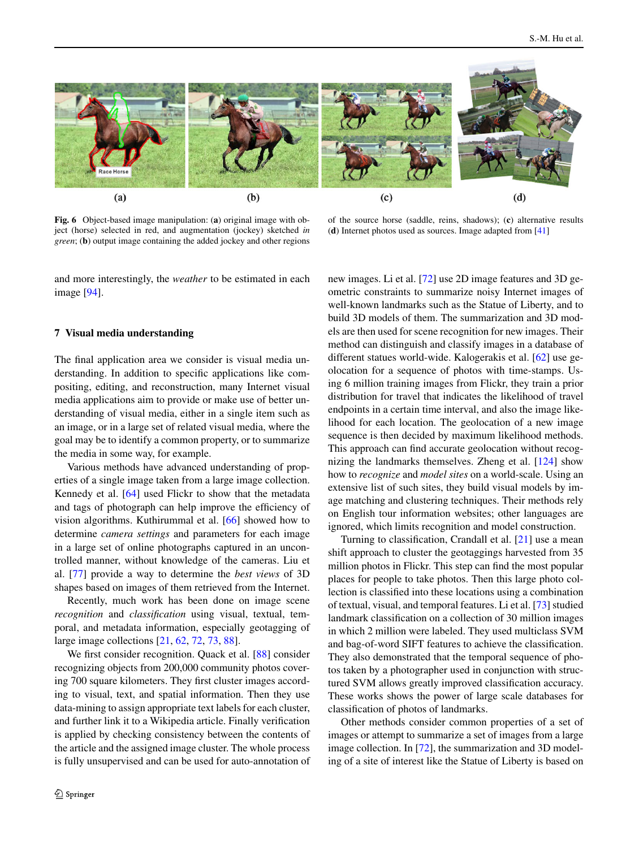<span id="page-7-1"></span>

<span id="page-7-0"></span>**Fig. 6** Object-based image manipulation: (**a**) original image with object (horse) selected in red, and augmentation (jockey) sketched *in green*; (**b**) output image containing the added jockey and other regions

of the source horse (saddle, reins, shadows); (**c**) alternative results (**d**) Internet photos used as sources. Image adapted from [\[41\]](#page-9-37)

and more interestingly, the *weather* to be estimated in each image [[94\]](#page-10-35).

# **7 Visual media understanding**

The final application area we consider is visual media understanding. In addition to specific applications like compositing, editing, and reconstruction, many Internet visual media applications aim to provide or make use of better understanding of visual media, either in a single item such as an image, or in a large set of related visual media, where the goal may be to identify a common property, or to summarize the media in some way, for example.

Various methods have advanced understanding of properties of a single image taken from a large image collection. Kennedy et al. [\[64](#page-10-36)] used Flickr to show that the metadata and tags of photograph can help improve the efficiency of vision algorithms. Kuthirummal et al. [[66\]](#page-10-37) showed how to determine *camera settings* and parameters for each image in a large set of online photographs captured in an uncontrolled manner, without knowledge of the cameras. Liu et al. [[77\]](#page-10-14) provide a way to determine the *best views* of 3D shapes based on images of them retrieved from the Internet.

Recently, much work has been done on image scene *recognition* and *classification* using visual, textual, temporal, and metadata information, especially geotagging of large image collections [[21,](#page-9-42) [62,](#page-10-38) [72,](#page-10-39) [73,](#page-10-40) [88\]](#page-10-41).

We first consider recognition. Quack et al. [\[88](#page-10-41)] consider recognizing objects from 200,000 community photos covering 700 square kilometers. They first cluster images according to visual, text, and spatial information. Then they use data-mining to assign appropriate text labels for each cluster, and further link it to a Wikipedia article. Finally verification is applied by checking consistency between the contents of the article and the assigned image cluster. The whole process is fully unsupervised and can be used for auto-annotation of new images. Li et al. [[72\]](#page-10-39) use 2D image features and 3D geometric constraints to summarize noisy Internet images of well-known landmarks such as the Statue of Liberty, and to build 3D models of them. The summarization and 3D models are then used for scene recognition for new images. Their method can distinguish and classify images in a database of different statues world-wide. Kalogerakis et al. [\[62](#page-10-38)] use geolocation for a sequence of photos with time-stamps. Using 6 million training images from Flickr, they train a prior distribution for travel that indicates the likelihood of travel endpoints in a certain time interval, and also the image likelihood for each location. The geolocation of a new image sequence is then decided by maximum likelihood methods. This approach can find accurate geolocation without recognizing the landmarks themselves. Zheng et al. [\[124](#page-11-26)] show how to *recognize* and *model sites* on a world-scale. Using an extensive list of such sites, they build visual models by image matching and clustering techniques. Their methods rely on English tour information websites; other languages are ignored, which limits recognition and model construction.

Turning to classification, Crandall et al. [\[21\]](#page-9-42) use a mean shift approach to cluster the geotaggings harvested from 35 million photos in Flickr. This step can find the most popular places for people to take photos. Then this large photo collection is classified into these locations using a combination of textual, visual, and temporal features. Li et al. [\[73\]](#page-10-40) studied landmark classification on a collection of 30 million images in which 2 million were labeled. They used multiclass SVM and bag-of-word SIFT features to achieve the classification. They also demonstrated that the temporal sequence of photos taken by a photographer used in conjunction with structured SVM allows greatly improved classification accuracy. These works shows the power of large scale databases for classification of photos of landmarks.

Other methods consider common properties of a set of images or attempt to summarize a set of images from a large image collection. In [[72](#page-10-39)], the summarization and 3D modeling of a site of interest like the Statue of Liberty is based on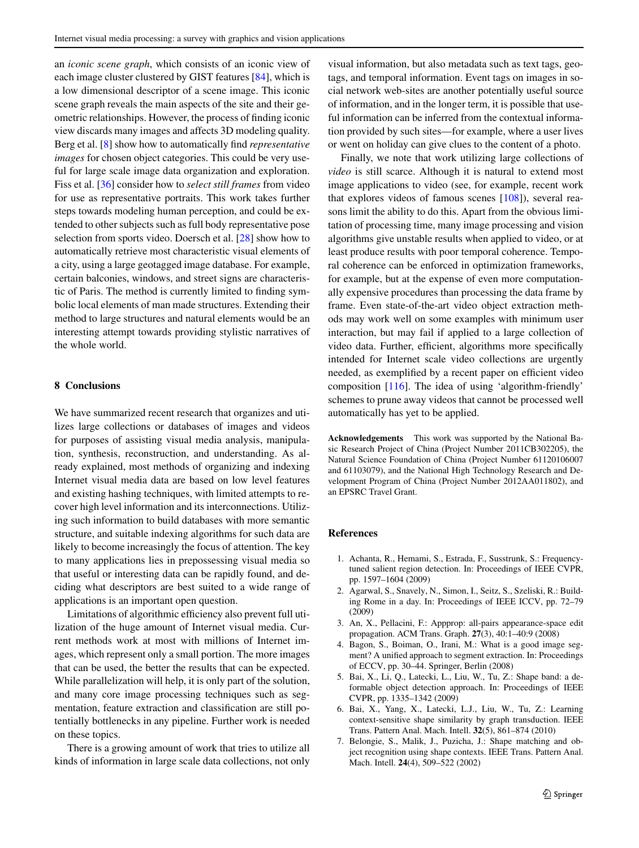an *iconic scene graph*, which consists of an iconic view of each image cluster clustered by GIST features [[84\]](#page-10-42), which is a low dimensional descriptor of a scene image. This iconic scene graph reveals the main aspects of the site and their geometric relationships. However, the process of finding iconic view discards many images and affects 3D modeling quality. Berg et al. [[8\]](#page-9-43) show how to automatically find *representative images* for chosen object categories. This could be very useful for large scale image data organization and exploration. Fiss et al. [[36\]](#page-9-44) consider how to *select still frames* from video for use as representative portraits. This work takes further steps towards modeling human perception, and could be extended to other subjects such as full body representative pose selection from sports video. Doersch et al. [\[28](#page-9-45)] show how to automatically retrieve most characteristic visual elements of a city, using a large geotagged image database. For example, certain balconies, windows, and street signs are characteristic of Paris. The method is currently limited to finding symbolic local elements of man made structures. Extending their method to large structures and natural elements would be an interesting attempt towards providing stylistic narratives of the whole world.

## <span id="page-8-0"></span>**8 Conclusions**

We have summarized recent research that organizes and utilizes large collections or databases of images and videos for purposes of assisting visual media analysis, manipulation, synthesis, reconstruction, and understanding. As already explained, most methods of organizing and indexing Internet visual media data are based on low level features and existing hashing techniques, with limited attempts to recover high level information and its interconnections. Utilizing such information to build databases with more semantic structure, and suitable indexing algorithms for such data are likely to become increasingly the focus of attention. The key to many applications lies in prepossessing visual media so that useful or interesting data can be rapidly found, and deciding what descriptors are best suited to a wide range of applications is an important open question.

Limitations of algorithmic efficiency also prevent full utilization of the huge amount of Internet visual media. Current methods work at most with millions of Internet images, which represent only a small portion. The more images that can be used, the better the results that can be expected. While parallelization will help, it is only part of the solution, and many core image processing techniques such as segmentation, feature extraction and classification are still potentially bottlenecks in any pipeline. Further work is needed on these topics.

There is a growing amount of work that tries to utilize all kinds of information in large scale data collections, not only visual information, but also metadata such as text tags, geotags, and temporal information. Event tags on images in social network web-sites are another potentially useful source of information, and in the longer term, it is possible that useful information can be inferred from the contextual information provided by such sites—for example, where a user lives or went on holiday can give clues to the content of a photo.

Finally, we note that work utilizing large collections of *video* is still scarce. Although it is natural to extend most image applications to video (see, for example, recent work that explores videos of famous scenes [\[108](#page-11-27)]), several reasons limit the ability to do this. Apart from the obvious limitation of processing time, many image processing and vision algorithms give unstable results when applied to video, or at least produce results with poor temporal coherence. Temporal coherence can be enforced in optimization frameworks, for example, but at the expense of even more computationally expensive procedures than processing the data frame by frame. Even state-of-the-art video object extraction methods may work well on some examples with minimum user interaction, but may fail if applied to a large collection of video data. Further, efficient, algorithms more specifically intended for Internet scale video collections are urgently needed, as exemplified by a recent paper on efficient video composition [\[116](#page-11-28)]. The idea of using 'algorithm-friendly' schemes to prune away videos that cannot be processed well automatically has yet to be applied.

<span id="page-8-2"></span>**Acknowledgements** This work was supported by the National Basic Research Project of China (Project Number 2011CB302205), the Natural Science Foundation of China (Project Number 61120106007 and 61103079), and the National High Technology Research and Development Program of China (Project Number 2012AA011802), and an EPSRC Travel Grant.

#### <span id="page-8-7"></span><span id="page-8-6"></span><span id="page-8-1"></span>**References**

- 1. Achanta, R., Hemami, S., Estrada, F., Susstrunk, S.: Frequencytuned salient region detection. In: Proceedings of IEEE CVPR, pp. 1597–1604 (2009)
- <span id="page-8-5"></span>2. Agarwal, S., Snavely, N., Simon, I., Seitz, S., Szeliski, R.: Building Rome in a day. In: Proceedings of IEEE ICCV, pp. 72–79 (2009)
- <span id="page-8-4"></span>3. An, X., Pellacini, F.: Appprop: all-pairs appearance-space edit propagation. ACM Trans. Graph. **27**(3), 40:1–40:9 (2008)
- <span id="page-8-3"></span>4. Bagon, S., Boiman, O., Irani, M.: What is a good image segment? A unified approach to segment extraction. In: Proceedings of ECCV, pp. 30–44. Springer, Berlin (2008)
- 5. Bai, X., Li, Q., Latecki, L., Liu, W., Tu, Z.: Shape band: a deformable object detection approach. In: Proceedings of IEEE CVPR, pp. 1335–1342 (2009)
- 6. Bai, X., Yang, X., Latecki, L.J., Liu, W., Tu, Z.: Learning context-sensitive shape similarity by graph transduction. IEEE Trans. Pattern Anal. Mach. Intell. **32**(5), 861–874 (2010)
- 7. Belongie, S., Malik, J., Puzicha, J.: Shape matching and object recognition using shape contexts. IEEE Trans. Pattern Anal. Mach. Intell. **24**(4), 509–522 (2002)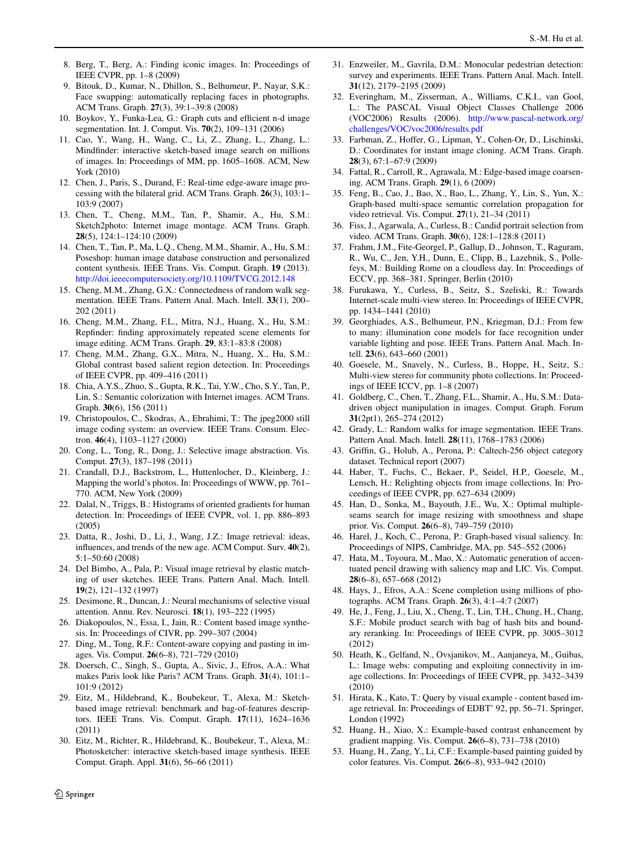- <span id="page-9-43"></span><span id="page-9-23"></span><span id="page-9-17"></span><span id="page-9-0"></span>8. Berg, T., Berg, A.: Finding iconic images. In: Proceedings of IEEE CVPR, pp. 1–8 (2009)
- <span id="page-9-34"></span>9. Bitouk, D., Kumar, N., Dhillon, S., Belhumeur, P., Nayar, S.K.: Face swapping: automatically replacing faces in photographs. ACM Trans. Graph. **27**(3), 39:1–39:8 (2008)
- <span id="page-9-5"></span>10. Boykov, Y., Funka-Lea, G.: Graph cuts and efficient n-d image segmentation. Int. J. Comput. Vis. **70**(2), 109–131 (2006)
- <span id="page-9-24"></span>11. Cao, Y., Wang, H., Wang, C., Li, Z., Zhang, L., Zhang, L.: Mindfinder: interactive sketch-based image search on millions of images. In: Proceedings of MM, pp. 1605–1608. ACM, New York (2010)
- <span id="page-9-1"></span>12. Chen, J., Paris, S., Durand, F.: Real-time edge-aware image processing with the bilateral grid. ACM Trans. Graph. **26**(3), 103:1– 103:9 (2007)
- <span id="page-9-3"></span>13. Chen, T., Cheng, M.M., Tan, P., Shamir, A., Hu, S.M.: Sketch2photo: Internet image montage. ACM Trans. Graph. **28**(5), 124:1–124:10 (2009)
- <span id="page-9-10"></span>14. Chen, T., Tan, P., Ma, L.Q., Cheng, M.M., Shamir, A., Hu, S.M.: Poseshop: human image database construction and personalized content synthesis. IEEE Trans. Vis. Comput. Graph. **19** (2013). <http://doi.ieeecomputersociety.org/10.1109/TVCG.2012.148>
- <span id="page-9-11"></span>15. Cheng, M.M., Zhang, G.X.: Connectedness of random walk segmentation. IEEE Trans. Pattern Anal. Mach. Intell. **33**(1), 200– 202 (2011)
- <span id="page-9-4"></span>16. Cheng, M.M., Zhang, F.L., Mitra, N.J., Huang, X., Hu, S.M.: Repfinder: finding approximately repeated scene elements for image editing. ACM Trans. Graph. **29**, 83:1–83:8 (2008)
- <span id="page-9-27"></span>17. Cheng, M.M., Zhang, G.X., Mitra, N., Huang, X., Hu, S.M.: Global contrast based salient region detection. In: Proceedings of IEEE CVPR, pp. 409–416 (2011)
- <span id="page-9-42"></span>18. Chia, A.Y.S., Zhuo, S., Gupta, R.K., Tai, Y.W., Cho, S.Y., Tan, P., Lin, S.: Semantic colorization with Internet images. ACM Trans. Graph. **30**(6), 156 (2011)
- <span id="page-9-18"></span>19. Christopoulos, C., Skodras, A., Ebrahimi, T.: The jpeg2000 still image coding system: an overview. IEEE Trans. Consum. Electron. **46**(4), 1103–1127 (2000)
- <span id="page-9-16"></span>20. Cong, L., Tong, R., Dong, J.: Selective image abstraction. Vis. Comput. **27**(3), 187–198 (2011)
- <span id="page-9-13"></span>21. Crandall, D.J., Backstrom, L., Huttenlocher, D., Kleinberg, J.: Mapping the world's photos. In: Proceedings of WWW, pp. 761– 770. ACM, New York (2009)
- <span id="page-9-6"></span>22. Dalal, N., Triggs, B.: Histograms of oriented gradients for human detection. In: Proceedings of IEEE CVPR, vol. 1, pp. 886–893 (2005)
- <span id="page-9-31"></span><span id="page-9-29"></span>23. Datta, R., Joshi, D., Li, J., Wang, J.Z.: Image retrieval: ideas, influences, and trends of the new age. ACM Comput. Surv. **40**(2), 5:1–50:60 (2008)
- <span id="page-9-45"></span>24. Del Bimbo, A., Pala, P.: Visual image retrieval by elastic matching of user sketches. IEEE Trans. Pattern Anal. Mach. Intell. **19**(2), 121–132 (1997)
- <span id="page-9-14"></span>25. Desimone, R., Duncan, J.: Neural mechanisms of selective visual attention. Annu. Rev. Neurosci. **18**(1), 193–222 (1995)
- 26. Diakopoulos, N., Essa, I., Jain, R.: Content based image synthesis. In: Proceedings of CIVR, pp. 299–307 (2004)
- <span id="page-9-32"></span>27. Ding, M., Tong, R.F.: Content-aware copying and pasting in images. Vis. Comput. **26**(6–8), 721–729 (2010)
- 28. Doersch, C., Singh, S., Gupta, A., Sivic, J., Efros, A.A.: What makes Paris look like Paris? ACM Trans. Graph. **31**(4), 101:1– 101:9 (2012)
- 29. Eitz, M., Hildebrand, K., Boubekeur, T., Alexa, M.: Sketchbased image retrieval: benchmark and bag-of-features descriptors. IEEE Trans. Vis. Comput. Graph. **17**(11), 1624–1636 (2011)
- 30. Eitz, M., Richter, R., Hildebrand, K., Boubekeur, T., Alexa, M.: Photosketcher: interactive sketch-based image synthesis. IEEE Comput. Graph. Appl. **31**(6), 56–66 (2011)
- <span id="page-9-35"></span><span id="page-9-30"></span><span id="page-9-21"></span><span id="page-9-20"></span>31. Enzweiler, M., Gavrila, D.M.: Monocular pedestrian detection: survey and experiments. IEEE Trans. Pattern Anal. Mach. Intell. **31**(12), 2179–2195 (2009)
- <span id="page-9-15"></span>32. Everingham, M., Zisserman, A., Williams, C.K.I., van Gool, L.: The PASCAL Visual Object Classes Challenge 2006 (VOC2006) Results (2006). [http://www.pascal-network.org/](http://www.pascal-network.org/challenges/VOC/voc2006/results.pdf) [challenges/VOC/voc2006/results.pdf](http://www.pascal-network.org/challenges/VOC/voc2006/results.pdf)
- <span id="page-9-44"></span><span id="page-9-38"></span>33. Farbman, Z., Hoffer, G., Lipman, Y., Cohen-Or, D., Lischinski, D.: Coordinates for instant image cloning. ACM Trans. Graph. **28**(3), 67:1–67:9 (2009)
- 34. Fattal, R., Carroll, R., Agrawala, M.: Edge-based image coarsening. ACM Trans. Graph. **29**(1), 6 (2009)
- <span id="page-9-40"></span>35. Feng, B., Cao, J., Bao, X., Bao, L., Zhang, Y., Lin, S., Yun, X.: Graph-based multi-space semantic correlation propagation for video retrieval. Vis. Comput. **27**(1), 21–34 (2011)
- <span id="page-9-19"></span>36. Fiss, J., Agarwala, A., Curless, B.: Candid portrait selection from video. ACM Trans. Graph. **30**(6), 128:1–128:8 (2011)
- <span id="page-9-39"></span>37. Frahm, J.M., Fite-Georgel, P., Gallup, D., Johnson, T., Raguram, R., Wu, C., Jen, Y.H., Dunn, E., Clipp, B., Lazebnik, S., Pollefeys, M.: Building Rome on a cloudless day. In: Proceedings of ECCV, pp. 368–381. Springer, Berlin (2010)
- <span id="page-9-37"></span>38. Furukawa, Y., Curless, B., Seitz, S., Szeliski, R.: Towards Internet-scale multi-view stereo. In: Proceedings of IEEE CVPR, pp. 1434–1441 (2010)
- <span id="page-9-2"></span>39. Georghiades, A.S., Belhumeur, P.N., Kriegman, D.J.: From few to many: illumination cone models for face recognition under variable lighting and pose. IEEE Trans. Pattern Anal. Mach. Intell. **23**(6), 643–660 (2001)
- <span id="page-9-41"></span><span id="page-9-22"></span>40. Goesele, M., Snavely, N., Curless, B., Hoppe, H., Seitz, S.: Multi-view stereo for community photo collections. In: Proceedings of IEEE ICCV, pp. 1–8 (2007)
- <span id="page-9-7"></span>41. Goldberg, C., Chen, T., Zhang, F.L., Shamir, A., Hu, S.M.: Datadriven object manipulation in images. Comput. Graph. Forum **31**(2pt1), 265–274 (2012)
- <span id="page-9-9"></span>42. Grady, L.: Random walks for image segmentation. IEEE Trans. Pattern Anal. Mach. Intell. **28**(11), 1768–1783 (2006)
- <span id="page-9-8"></span>43. Griffin, G., Holub, A., Perona, P.: Caltech-256 object category dataset. Technical report (2007)
- 44. Haber, T., Fuchs, C., Bekaer, P., Seidel, H.P., Goesele, M., Lensch, H.: Relighting objects from image collections. In: Proceedings of IEEE CVPR, pp. 627–634 (2009)
- <span id="page-9-36"></span><span id="page-9-25"></span>45. Han, D., Sonka, M., Bayouth, J.E., Wu, X.: Optimal multipleseams search for image resizing with smoothness and shape prior. Vis. Comput. **26**(6–8), 749–759 (2010)
- 46. Harel, J., Koch, C., Perona, P.: Graph-based visual saliency. In: Proceedings of NIPS, Cambridge, MA, pp. 545–552 (2006)
- <span id="page-9-26"></span>47. Hata, M., Toyoura, M., Mao, X.: Automatic generation of accentuated pencil drawing with saliency map and LIC. Vis. Comput. **28**(6–8), 657–668 (2012)
- <span id="page-9-12"></span>48. Hays, J., Efros, A.A.: Scene completion using millions of photographs. ACM Trans. Graph. **26**(3), 4:1–4:7 (2007)
- <span id="page-9-33"></span>49. He, J., Feng, J., Liu, X., Cheng, T., Lin, T.H., Chung, H., Chang, S.F.: Mobile product search with bag of hash bits and boundary reranking. In: Proceedings of IEEE CVPR, pp. 3005–3012 (2012)
- <span id="page-9-28"></span>50. Heath, K., Gelfand, N., Ovsjanikov, M., Aanjaneya, M., Guibas, L.: Image webs: computing and exploiting connectivity in image collections. In: Proceedings of IEEE CVPR, pp. 3432–3439 (2010)
- 51. Hirata, K., Kato, T.: Query by visual example content based image retrieval. In: Proceedings of EDBT' 92, pp. 56–71. Springer, London (1992)
- 52. Huang, H., Xiao, X.: Example-based contrast enhancement by gradient mapping. Vis. Comput. **26**(6–8), 731–738 (2010)
- 53. Huang, H., Zang, Y., Li, C.F.: Example-based painting guided by color features. Vis. Comput. **26**(6–8), 933–942 (2010)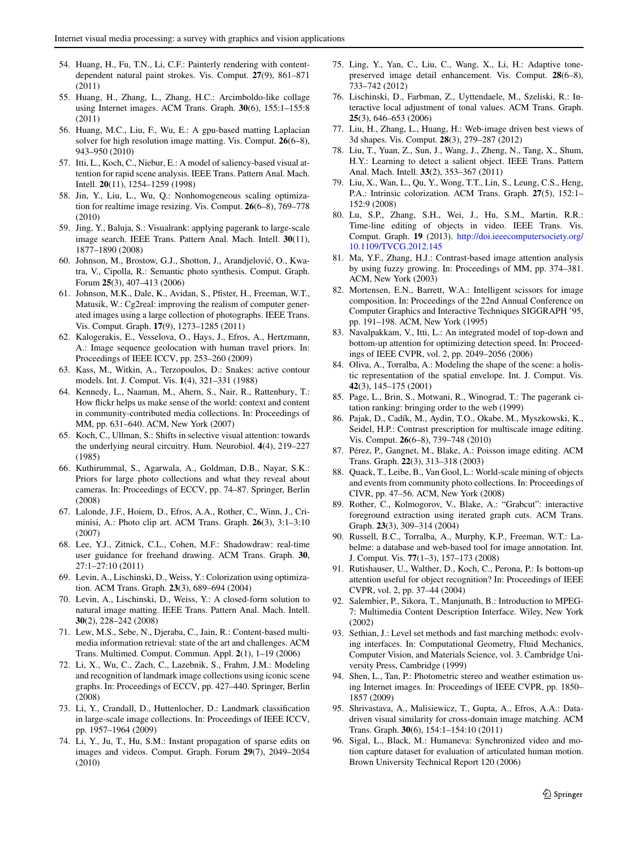- <span id="page-10-24"></span><span id="page-10-23"></span><span id="page-10-13"></span><span id="page-10-10"></span>54. Huang, H., Fu, T.N., Li, C.F.: Painterly rendering with contentdependent natural paint strokes. Vis. Comput. **27**(9), 861–871 (2011)
- <span id="page-10-8"></span>55. Huang, H., Zhang, L., Zhang, H.C.: Arcimboldo-like collage using Internet images. ACM Trans. Graph. **30**(6), 155:1–155:8 (2011)
- <span id="page-10-17"></span>56. Huang, M.C., Liu, F., Wu, E.: A gpu-based matting Laplacian solver for high resolution image matting. Vis. Comput. **26**(6–8), 943–950 (2010)
- <span id="page-10-26"></span>57. Itti, L., Koch, C., Niebur, E.: A model of saliency-based visual attention for rapid scene analysis. IEEE Trans. Pattern Anal. Mach. Intell. **20**(11), 1254–1259 (1998)
- <span id="page-10-27"></span>58. Jin, Y., Liu, L., Wu, Q.: Nonhomogeneous scaling optimization for realtime image resizing. Vis. Comput. **26**(6–8), 769–778 (2010)
- <span id="page-10-38"></span>59. Jing, Y., Baluja, S.: Visualrank: applying pagerank to large-scale image search. IEEE Trans. Pattern Anal. Mach. Intell. **30**(11), 1877–1890 (2008)
- <span id="page-10-1"></span>60. Johnson, M., Brostow, G.J., Shotton, J., Arandjelovic, O., Kwa- ´ tra, V., Cipolla, R.: Semantic photo synthesis. Comput. Graph. Forum **25**(3), 407–413 (2006)
- <span id="page-10-36"></span>61. Johnson, M.K., Dale, K., Avidan, S., Pfister, H., Freeman, W.T., Matusik, W.: Cg2real: improving the realism of computer generated images using a large collection of photographs. IEEE Trans. Vis. Comput. Graph. **17**(9), 1273–1285 (2011)
- <span id="page-10-9"></span>62. Kalogerakis, E., Vesselova, O., Hays, J., Efros, A., Hertzmann, A.: Image sequence geolocation with human travel priors. In: Proceedings of IEEE ICCV, pp. 253–260 (2009)
- <span id="page-10-37"></span>63. Kass, M., Witkin, A., Terzopoulos, D.: Snakes: active contour models. Int. J. Comput. Vis. **1**(4), 321–331 (1988)
- <span id="page-10-6"></span>64. Kennedy, L., Naaman, M., Ahern, S., Nair, R., Rattenbury, T.: How flickr helps us make sense of the world: context and content in community-contributed media collections. In: Proceedings of MM, pp. 631–640. ACM, New York (2007)
- <span id="page-10-22"></span>65. Koch, C., Ullman, S.: Shifts in selective visual attention: towards the underlying neural circuitry. Hum. Neurobiol. **4**(4), 219–227 (1985)
- <span id="page-10-29"></span>66. Kuthirummal, S., Agarwala, A., Goldman, D.B., Nayar, S.K.: Priors for large photo collections and what they reveal about cameras. In: Proceedings of ECCV, pp. 74–87. Springer, Berlin (2008)
- <span id="page-10-4"></span>67. Lalonde, J.F., Hoiem, D., Efros, A.A., Rother, C., Winn, J., Criminisi, A.: Photo clip art. ACM Trans. Graph. **26**(3), 3:1–3:10 (2007)
- <span id="page-10-16"></span>68. Lee, Y.J., Zitnick, C.L., Cohen, M.F.: Shadowdraw: real-time user guidance for freehand drawing. ACM Trans. Graph. **30**, 27:1–27:10 (2011)
- <span id="page-10-39"></span>69. Levin, A., Lischinski, D., Weiss, Y.: Colorization using optimization. ACM Trans. Graph. **23**(3), 689–694 (2004)
- <span id="page-10-40"></span>70. Levin, A., Lischinski, D., Weiss, Y.: A closed-form solution to natural image matting. IEEE Trans. Pattern Anal. Mach. Intell. **30**(2), 228–242 (2008)
- <span id="page-10-32"></span>71. Lew, M.S., Sebe, N., Djeraba, C., Jain, R.: Content-based multimedia information retrieval: state of the art and challenges. ACM Trans. Multimed. Comput. Commun. Appl. **2**(1), 1–19 (2006)
- 72. Li, X., Wu, C., Zach, C., Lazebnik, S., Frahm, J.M.: Modeling and recognition of landmark image collections using iconic scene graphs. In: Proceedings of ECCV, pp. 427–440. Springer, Berlin (2008)
- 73. Li, Y., Crandall, D., Huttenlocher, D.: Landmark classification in large-scale image collections. In: Proceedings of IEEE ICCV, pp. 1957–1964 (2009)
- 74. Li, Y., Ju, T., Hu, S.M.: Instant propagation of sparse edits on images and videos. Comput. Graph. Forum **29**(7), 2049–2054 (2010)
- <span id="page-10-30"></span><span id="page-10-28"></span><span id="page-10-14"></span><span id="page-10-11"></span>75. Ling, Y., Yan, C., Liu, C., Wang, X., Li, H.: Adaptive tonepreserved image detail enhancement. Vis. Comput. **28**(6–8), 733–742 (2012)
- <span id="page-10-34"></span><span id="page-10-33"></span>76. Lischinski, D., Farbman, Z., Uyttendaele, M., Szeliski, R.: Interactive local adjustment of tonal values. ACM Trans. Graph. **25**(3), 646–653 (2006)
- 77. Liu, H., Zhang, L., Huang, H.: Web-image driven best views of 3d shapes. Vis. Comput. **28**(3), 279–287 (2012)
- <span id="page-10-12"></span>78. Liu, T., Yuan, Z., Sun, J., Wang, J., Zheng, N., Tang, X., Shum, H.Y.: Learning to detect a salient object. IEEE Trans. Pattern Anal. Mach. Intell. **33**(2), 353–367 (2011)
- <span id="page-10-0"></span>79. Liu, X., Wan, L., Qu, Y., Wong, T.T., Lin, S., Leung, C.S., Heng, P.A.: Intrinsic colorization. ACM Trans. Graph. **27**(5), 152:1– 152:9 (2008)
- <span id="page-10-7"></span>80. Lu, S.P., Zhang, S.H., Wei, J., Hu, S.M., Martin, R.R.: Time-line editing of objects in video. IEEE Trans. Vis. Comput. Graph. **19** (2013). [http://doi.ieeecomputersociety.org/](http://doi.ieeecomputersociety.org/10.1109/TVCG.2012.145) [10.1109/TVCG.2012.145](http://doi.ieeecomputersociety.org/10.1109/TVCG.2012.145)
- <span id="page-10-42"></span>81. Ma, Y.F., Zhang, H.J.: Contrast-based image attention analysis by using fuzzy growing. In: Proceedings of MM, pp. 374–381. ACM, New York (2003)
- <span id="page-10-18"></span>82. Mortensen, E.N., Barrett, W.A.: Intelligent scissors for image composition. In: Proceedings of the 22nd Annual Conference on Computer Graphics and Interactive Techniques SIGGRAPH '95, pp. 191–198. ACM, New York (1995)
- <span id="page-10-31"></span>83. Navalpakkam, V., Itti, L.: An integrated model of top-down and bottom-up attention for optimizing detection speed. In: Proceedings of IEEE CVPR, vol. 2, pp. 2049–2056 (2006)
- <span id="page-10-41"></span><span id="page-10-25"></span>84. Oliva, A., Torralba, A.: Modeling the shape of the scene: a holistic representation of the spatial envelope. Int. J. Comput. Vis. **42**(3), 145–175 (2001)
- <span id="page-10-3"></span>85. Page, L., Brin, S., Motwani, R., Winograd, T.: The pagerank citation ranking: bringing order to the web (1999)
- 86. Pajak, D., Cadík, M., Aydin, T.O., Okabe, M., Myszkowski, K., Seidel, H.P.: Contrast prescription for multiscale image editing. Vis. Comput. **26**(6–8), 739–748 (2010)
- <span id="page-10-21"></span>87. Pérez, P., Gangnet, M., Blake, A.: Poisson image editing. ACM Trans. Graph. **22**(3), 313–318 (2003)
- <span id="page-10-5"></span>88. Quack, T., Leibe, B., Van Gool, L.: World-scale mining of objects and events from community photo collections. In: Proceedings of CIVR, pp. 47–56. ACM, New York (2008)
- <span id="page-10-15"></span>89. Rother, C., Kolmogorov, V., Blake, A.: "Grabcut": interactive foreground extraction using iterated graph cuts. ACM Trans. Graph. **23**(3), 309–314 (2004)
- <span id="page-10-2"></span>90. Russell, B.C., Torralba, A., Murphy, K.P., Freeman, W.T.: Labelme: a database and web-based tool for image annotation. Int. J. Comput. Vis. **77**(1–3), 157–173 (2008)
- <span id="page-10-35"></span>91. Rutishauser, U., Walther, D., Koch, C., Perona, P.: Is bottom-up attention useful for object recognition? In: Proceedings of IEEE CVPR, vol. 2, pp. 37–44 (2004)
- <span id="page-10-19"></span>92. Salembier, P., Sikora, T., Manjunath, B.: Introduction to MPEG-7: Multimedia Content Description Interface. Wiley, New York (2002)
- <span id="page-10-20"></span>93. Sethian, J.: Level set methods and fast marching methods: evolving interfaces. In: Computational Geometry, Fluid Mechanics, Computer Vision, and Materials Science, vol. 3. Cambridge University Press, Cambridge (1999)
- 94. Shen, L., Tan, P.: Photometric stereo and weather estimation using Internet images. In: Proceedings of IEEE CVPR, pp. 1850– 1857 (2009)
- 95. Shrivastava, A., Malisiewicz, T., Gupta, A., Efros, A.A.: Datadriven visual similarity for cross-domain image matching. ACM Trans. Graph. **30**(6), 154:1–154:10 (2011)
- 96. Sigal, L., Black, M.: Humaneva: Synchronized video and motion capture dataset for evaluation of articulated human motion. Brown University Technical Report 120 (2006)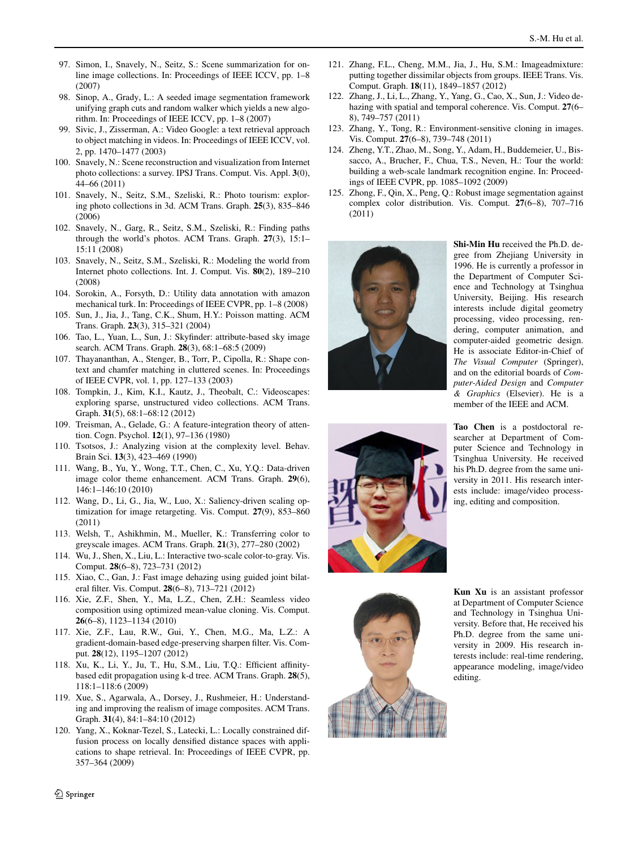- <span id="page-11-25"></span><span id="page-11-21"></span><span id="page-11-9"></span><span id="page-11-0"></span>97. Simon, I., Snavely, N., Seitz, S.: Scene summarization for online image collections. In: Proceedings of IEEE ICCV, pp. 1–8 (2007)
- <span id="page-11-22"></span>98. Sinop, A., Grady, L.: A seeded image segmentation framework unifying graph cuts and random walker which yields a new algorithm. In: Proceedings of IEEE ICCV, pp. 1–8 (2007)
- <span id="page-11-24"></span>99. Sivic, J., Zisserman, A.: Video Google: a text retrieval approach to object matching in videos. In: Proceedings of IEEE ICCV, vol. 2, pp. 1470–1477 (2003)
- <span id="page-11-23"></span>100. Snavely, N.: Scene reconstruction and visualization from Internet photo collections: a survey. IPSJ Trans. Comput. Vis. Appl. **3**(0), 44–66 (2011)
- <span id="page-11-11"></span>101. Snavely, N., Seitz, S.M., Szeliski, R.: Photo tourism: exploring photo collections in 3d. ACM Trans. Graph. **25**(3), 835–846 (2006)
- <span id="page-11-10"></span><span id="page-11-2"></span>102. Snavely, N., Garg, R., Seitz, S.M., Szeliski, R.: Finding paths through the world's photos. ACM Trans. Graph. **27**(3), 15:1– 15:11 (2008)
- <span id="page-11-8"></span>103. Snavely, N., Seitz, S.M., Szeliski, R.: Modeling the world from Internet photo collections. Int. J. Comput. Vis. **80**(2), 189–210 (2008)
- <span id="page-11-27"></span>104. Sorokin, A., Forsyth, D.: Utility data annotation with amazon mechanical turk. In: Proceedings of IEEE CVPR, pp. 1–8 (2008)
- 105. Sun, J., Jia, J., Tang, C.K., Shum, H.Y.: Poisson matting. ACM Trans. Graph. **23**(3), 315–321 (2004)
- <span id="page-11-6"></span><span id="page-11-4"></span>106. Tao, L., Yuan, L., Sun, J.: Skyfinder: attribute-based sky image search. ACM Trans. Graph. **28**(3), 68:1–68:5 (2009)
- <span id="page-11-20"></span>107. Thayananthan, A., Stenger, B., Torr, P., Cipolla, R.: Shape context and chamfer matching in cluttered scenes. In: Proceedings of IEEE CVPR, vol. 1, pp. 127–133 (2003)
- <span id="page-11-5"></span>108. Tompkin, J., Kim, K.I., Kautz, J., Theobalt, C.: Videoscapes: exploring sparse, unstructured video collections. ACM Trans. Graph. **31**(5), 68:1–68:12 (2012)
- 109. Treisman, A., Gelade, G.: A feature-integration theory of attention. Cogn. Psychol. **12**(1), 97–136 (1980)
- <span id="page-11-14"></span>110. Tsotsos, J.: Analyzing vision at the complexity level. Behav. Brain Sci. **13**(3), 423–469 (1990)
- <span id="page-11-17"></span><span id="page-11-15"></span>111. Wang, B., Yu, Y., Wong, T.T., Chen, C., Xu, Y.Q.: Data-driven image color theme enhancement. ACM Trans. Graph. **29**(6), 146:1–146:10 (2010)
- <span id="page-11-28"></span>112. Wang, D., Li, G., Jia, W., Luo, X.: Saliency-driven scaling optimization for image retargeting. Vis. Comput. **27**(9), 853–860 (2011)
- <span id="page-11-16"></span>113. Welsh, T., Ashikhmin, M., Mueller, K.: Transferring color to greyscale images. ACM Trans. Graph. **21**(3), 277–280 (2002)
- 114. Wu, J., Shen, X., Liu, L.: Interactive two-scale color-to-gray. Vis. Comput. **28**(6–8), 723–731 (2012)
- <span id="page-11-19"></span>115. Xiao, C., Gan, J.: Fast image dehazing using guided joint bilateral filter. Vis. Comput. **28**(6–8), 713–721 (2012)
- <span id="page-11-13"></span>116. Xie, Z.F., Shen, Y., Ma, L.Z., Chen, Z.H.: Seamless video composition using optimized mean-value cloning. Vis. Comput. **26**(6–8), 1123–1134 (2010)
- <span id="page-11-7"></span>117. Xie, Z.F., Lau, R.W., Gui, Y., Chen, M.G., Ma, L.Z.: A gradient-domain-based edge-preserving sharpen filter. Vis. Comput. **28**(12), 1195–1207 (2012)
- 118. Xu, K., Li, Y., Ju, T., Hu, S.M., Liu, T.Q.: Efficient affinitybased edit propagation using k-d tree. ACM Trans. Graph. **28**(5), 118:1–118:6 (2009)
- 119. Xue, S., Agarwala, A., Dorsey, J., Rushmeier, H.: Understanding and improving the realism of image composites. ACM Trans. Graph. **31**(4), 84:1–84:10 (2012)
- 120. Yang, X., Koknar-Tezel, S., Latecki, L.: Locally constrained diffusion process on locally densified distance spaces with applications to shape retrieval. In: Proceedings of IEEE CVPR, pp. 357–364 (2009)
- <span id="page-11-26"></span><span id="page-11-18"></span><span id="page-11-12"></span><span id="page-11-3"></span>121. Zhang, F.L., Cheng, M.M., Jia, J., Hu, S.M.: Imageadmixture: putting together dissimilar objects from groups. IEEE Trans. Vis. Comput. Graph. **18**(11), 1849–1857 (2012)
- <span id="page-11-1"></span>122. Zhang, J., Li, L., Zhang, Y., Yang, G., Cao, X., Sun, J.: Video dehazing with spatial and temporal coherence. Vis. Comput. **27**(6– 8), 749–757 (2011)
- 123. Zhang, Y., Tong, R.: Environment-sensitive cloning in images. Vis. Comput. **27**(6–8), 739–748 (2011)
- 124. Zheng, Y.T., Zhao, M., Song, Y., Adam, H., Buddemeier, U., Bissacco, A., Brucher, F., Chua, T.S., Neven, H.: Tour the world: building a web-scale landmark recognition engine. In: Proceedings of IEEE CVPR, pp. 1085–1092 (2009)
- 125. Zhong, F., Qin, X., Peng, Q.: Robust image segmentation against complex color distribution. Vis. Comput. **27**(6–8), 707–716 (2011)





**Shi-Min Hu** received the Ph.D. degree from Zhejiang University in 1996. He is currently a professor in the Department of Computer Science and Technology at Tsinghua University, Beijing. His research interests include digital geometry processing, video processing, rendering, computer animation, and computer-aided geometric design. He is associate Editor-in-Chief of *The Visual Computer* (Springer), and on the editorial boards of *Computer-Aided Design* and *Computer & Graphics* (Elsevier). He is a member of the IEEE and ACM.

**Tao Chen** is a postdoctoral researcher at Department of Computer Science and Technology in Tsinghua University. He received his Ph.D. degree from the same university in 2011. His research interests include: image/video processing, editing and composition.



**Kun Xu** is an assistant professor at Department of Computer Science and Technology in Tsinghua University. Before that, He received his Ph.D. degree from the same university in 2009. His research interests include: real-time rendering, appearance modeling, image/video editing.